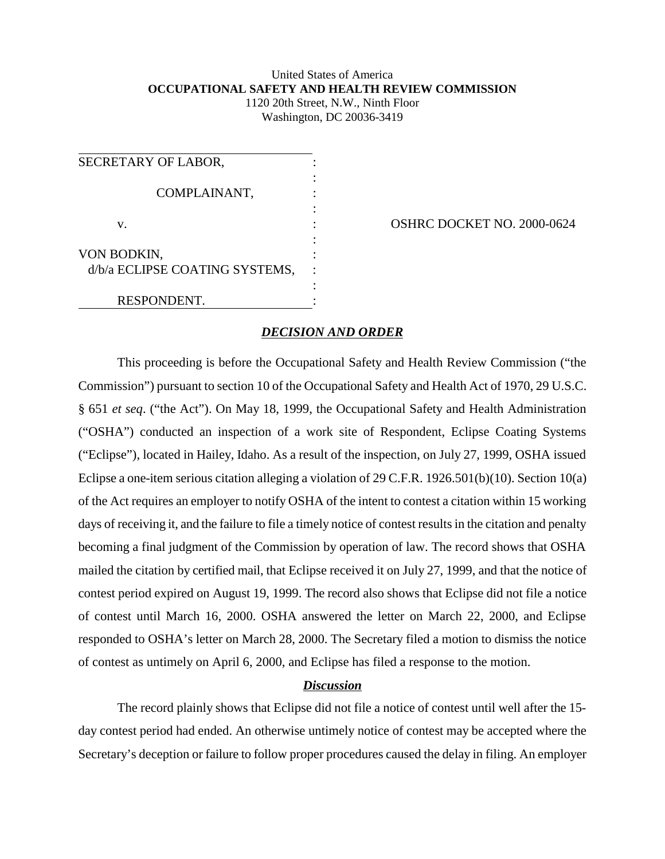## United States of America **OCCUPATIONAL SAFETY AND HEALTH REVIEW COMMISSION** 1120 20th Street, N.W., Ninth Floor

Washington, DC 20036-3419

| SECRETARY OF LABOR,            |  |
|--------------------------------|--|
| COMPLAINANT,                   |  |
| V.                             |  |
| VON BODKIN,                    |  |
| d/b/a ECLIPSE COATING SYSTEMS, |  |
| RESPONDENT.                    |  |

**OSHRC DOCKET NO. 2000-0624** 

## *DECISION AND ORDER*

This proceeding is before the Occupational Safety and Health Review Commission ("the Commission") pursuant to section 10 of the Occupational Safety and Health Act of 1970, 29 U.S.C. § 651 *et seq*. ("the Act"). On May 18, 1999, the Occupational Safety and Health Administration ("OSHA") conducted an inspection of a work site of Respondent, Eclipse Coating Systems ("Eclipse"), located in Hailey, Idaho. As a result of the inspection, on July 27, 1999, OSHA issued Eclipse a one-item serious citation alleging a violation of 29 C.F.R. 1926.501(b)(10). Section 10(a) of the Act requires an employer to notify OSHA of the intent to contest a citation within 15 working days of receiving it, and the failure to file a timely notice of contest results in the citation and penalty becoming a final judgment of the Commission by operation of law. The record shows that OSHA mailed the citation by certified mail, that Eclipse received it on July 27, 1999, and that the notice of contest period expired on August 19, 1999. The record also shows that Eclipse did not file a notice of contest until March 16, 2000. OSHA answered the letter on March 22, 2000, and Eclipse responded to OSHA's letter on March 28, 2000. The Secretary filed a motion to dismiss the notice of contest as untimely on April 6, 2000, and Eclipse has filed a response to the motion.

## *Discussion*

The record plainly shows that Eclipse did not file a notice of contest until well after the 15 day contest period had ended. An otherwise untimely notice of contest may be accepted where the Secretary's deception or failure to follow proper procedures caused the delay in filing. An employer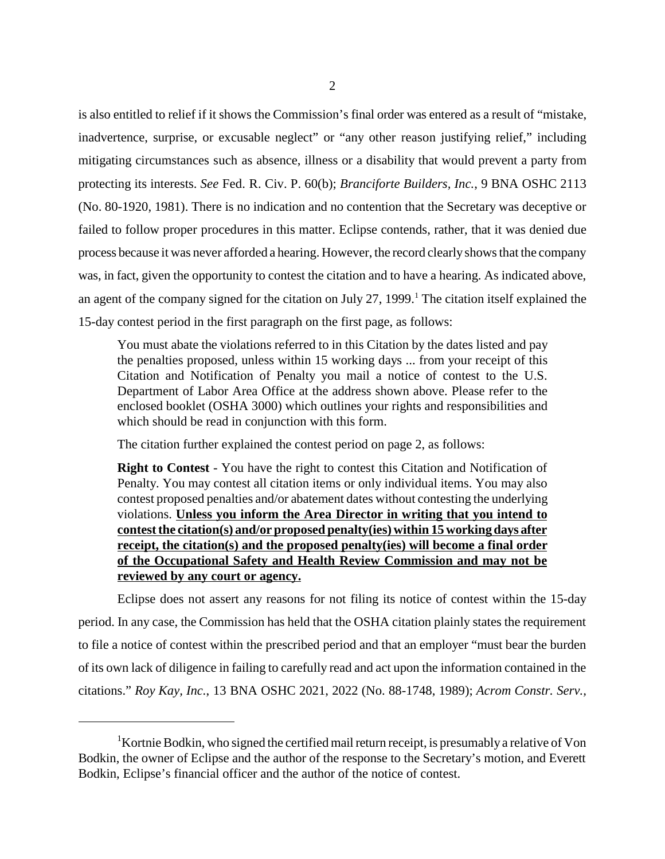is also entitled to relief if it shows the Commission's final order was entered as a result of "mistake, inadvertence, surprise, or excusable neglect" or "any other reason justifying relief," including mitigating circumstances such as absence, illness or a disability that would prevent a party from protecting its interests. *See* Fed. R. Civ. P. 60(b); *Branciforte Builders, Inc.*, 9 BNA OSHC 2113 (No. 80-1920, 1981). There is no indication and no contention that the Secretary was deceptive or failed to follow proper procedures in this matter. Eclipse contends, rather, that it was denied due process because it was never afforded a hearing. However, the record clearly shows that the company was, in fact, given the opportunity to contest the citation and to have a hearing. As indicated above, an agent of the company signed for the citation on July 27, 1999.<sup>1</sup> The citation itself explained the 15-day contest period in the first paragraph on the first page, as follows:

You must abate the violations referred to in this Citation by the dates listed and pay the penalties proposed, unless within 15 working days ... from your receipt of this Citation and Notification of Penalty you mail a notice of contest to the U.S. Department of Labor Area Office at the address shown above. Please refer to the enclosed booklet (OSHA 3000) which outlines your rights and responsibilities and which should be read in conjunction with this form.

The citation further explained the contest period on page 2, as follows:

**Right to Contest** - You have the right to contest this Citation and Notification of Penalty. You may contest all citation items or only individual items. You may also contest proposed penalties and/or abatement dates without contesting the underlying violations. **Unless you inform the Area Director in writing that you intend to contest the citation(s) and/or proposed penalty(ies) within 15 working days after receipt, the citation(s) and the proposed penalty(ies) will become a final order of the Occupational Safety and Health Review Commission and may not be reviewed by any court or agency.**

Eclipse does not assert any reasons for not filing its notice of contest within the 15-day period. In any case, the Commission has held that the OSHA citation plainly states the requirement to file a notice of contest within the prescribed period and that an employer "must bear the burden of its own lack of diligence in failing to carefully read and act upon the information contained in the citations." *Roy Kay, Inc.*, 13 BNA OSHC 2021, 2022 (No. 88-1748, 1989); *Acrom Constr. Serv.,*

<sup>&</sup>lt;sup>1</sup>Kortnie Bodkin, who signed the certified mail return receipt, is presumably a relative of Von Bodkin, the owner of Eclipse and the author of the response to the Secretary's motion, and Everett Bodkin, Eclipse's financial officer and the author of the notice of contest.